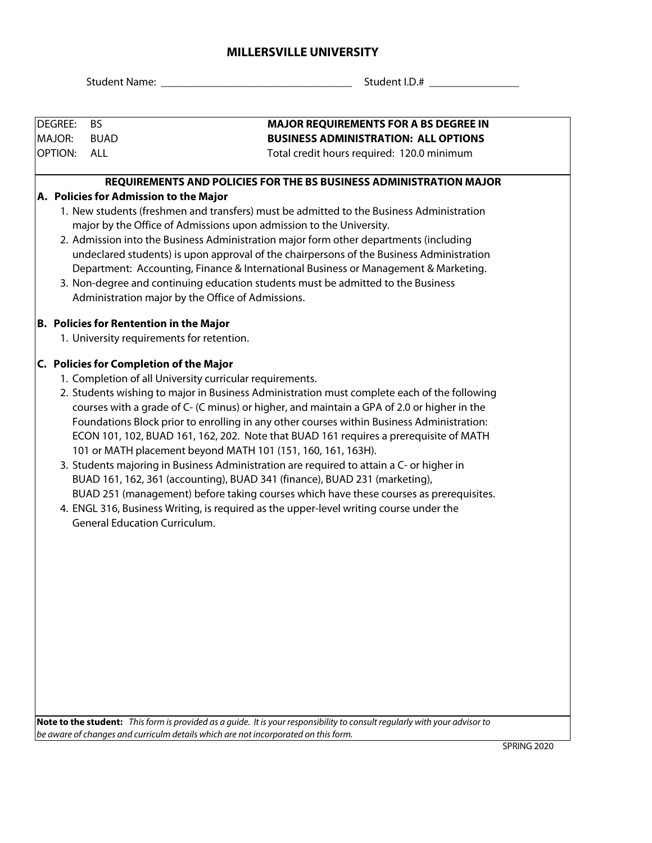## **MILLERSVILLE UNIVERSITY**

Student Name: \_\_\_\_\_\_\_\_\_\_\_\_\_\_\_\_\_\_\_\_\_\_\_\_\_\_\_\_\_\_\_\_\_\_ Student I.D.# \_\_\_\_\_\_\_\_\_\_\_\_\_\_\_\_

| <b>DEGREE:</b>                                                                           | <b>BS</b>                                                                                | <b>MAJOR REQUIREMENTS FOR A BS DEGREE IN</b>                                                                                                                                     |  |  |  |  |  |  |  |
|------------------------------------------------------------------------------------------|------------------------------------------------------------------------------------------|----------------------------------------------------------------------------------------------------------------------------------------------------------------------------------|--|--|--|--|--|--|--|
| <b>MAJOR:</b>                                                                            | <b>BUAD</b>                                                                              | <b>BUSINESS ADMINISTRATION: ALL OPTIONS</b>                                                                                                                                      |  |  |  |  |  |  |  |
| <b>OPTION:</b>                                                                           | <b>ALL</b>                                                                               | Total credit hours required: 120.0 minimum                                                                                                                                       |  |  |  |  |  |  |  |
|                                                                                          |                                                                                          | REQUIREMENTS AND POLICIES FOR THE BS BUSINESS ADMINISTRATION MAJOR                                                                                                               |  |  |  |  |  |  |  |
|                                                                                          |                                                                                          | A. Policies for Admission to the Major                                                                                                                                           |  |  |  |  |  |  |  |
| 1. New students (freshmen and transfers) must be admitted to the Business Administration |                                                                                          |                                                                                                                                                                                  |  |  |  |  |  |  |  |
|                                                                                          | major by the Office of Admissions upon admission to the University.                      |                                                                                                                                                                                  |  |  |  |  |  |  |  |
|                                                                                          |                                                                                          | 2. Admission into the Business Administration major form other departments (including                                                                                            |  |  |  |  |  |  |  |
|                                                                                          | undeclared students) is upon approval of the chairpersons of the Business Administration |                                                                                                                                                                                  |  |  |  |  |  |  |  |
|                                                                                          |                                                                                          | Department: Accounting, Finance & International Business or Management & Marketing.                                                                                              |  |  |  |  |  |  |  |
|                                                                                          |                                                                                          | 3. Non-degree and continuing education students must be admitted to the Business                                                                                                 |  |  |  |  |  |  |  |
|                                                                                          |                                                                                          | Administration major by the Office of Admissions.                                                                                                                                |  |  |  |  |  |  |  |
|                                                                                          |                                                                                          | <b>B. Policies for Rentention in the Major</b>                                                                                                                                   |  |  |  |  |  |  |  |
|                                                                                          |                                                                                          | 1. University requirements for retention.                                                                                                                                        |  |  |  |  |  |  |  |
|                                                                                          |                                                                                          | C. Policies for Completion of the Major                                                                                                                                          |  |  |  |  |  |  |  |
|                                                                                          | 1. Completion of all University curricular requirements.                                 |                                                                                                                                                                                  |  |  |  |  |  |  |  |
|                                                                                          |                                                                                          | 2. Students wishing to major in Business Administration must complete each of the following                                                                                      |  |  |  |  |  |  |  |
|                                                                                          |                                                                                          | courses with a grade of C- (C minus) or higher, and maintain a GPA of 2.0 or higher in the                                                                                       |  |  |  |  |  |  |  |
|                                                                                          |                                                                                          | Foundations Block prior to enrolling in any other courses within Business Administration:                                                                                        |  |  |  |  |  |  |  |
|                                                                                          |                                                                                          | ECON 101, 102, BUAD 161, 162, 202. Note that BUAD 161 requires a prerequisite of MATH                                                                                            |  |  |  |  |  |  |  |
|                                                                                          |                                                                                          | 101 or MATH placement beyond MATH 101 (151, 160, 161, 163H).                                                                                                                     |  |  |  |  |  |  |  |
|                                                                                          |                                                                                          | 3. Students majoring in Business Administration are required to attain a C- or higher in                                                                                         |  |  |  |  |  |  |  |
|                                                                                          |                                                                                          | BUAD 161, 162, 361 (accounting), BUAD 341 (finance), BUAD 231 (marketing),                                                                                                       |  |  |  |  |  |  |  |
|                                                                                          |                                                                                          | BUAD 251 (management) before taking courses which have these courses as prerequisites.<br>4. ENGL 316, Business Writing, is required as the upper-level writing course under the |  |  |  |  |  |  |  |
|                                                                                          |                                                                                          | <b>General Education Curriculum.</b>                                                                                                                                             |  |  |  |  |  |  |  |
|                                                                                          |                                                                                          |                                                                                                                                                                                  |  |  |  |  |  |  |  |
|                                                                                          |                                                                                          |                                                                                                                                                                                  |  |  |  |  |  |  |  |
|                                                                                          |                                                                                          |                                                                                                                                                                                  |  |  |  |  |  |  |  |
|                                                                                          |                                                                                          |                                                                                                                                                                                  |  |  |  |  |  |  |  |
|                                                                                          |                                                                                          |                                                                                                                                                                                  |  |  |  |  |  |  |  |
|                                                                                          |                                                                                          |                                                                                                                                                                                  |  |  |  |  |  |  |  |
|                                                                                          |                                                                                          |                                                                                                                                                                                  |  |  |  |  |  |  |  |
|                                                                                          |                                                                                          |                                                                                                                                                                                  |  |  |  |  |  |  |  |
|                                                                                          |                                                                                          |                                                                                                                                                                                  |  |  |  |  |  |  |  |
|                                                                                          |                                                                                          |                                                                                                                                                                                  |  |  |  |  |  |  |  |

**Note to the student:** *This form is provided as a guide. It is your responsibility to consult regularly with your advisor to be aware of changes and curriculm details which are not incorporated on this form.*